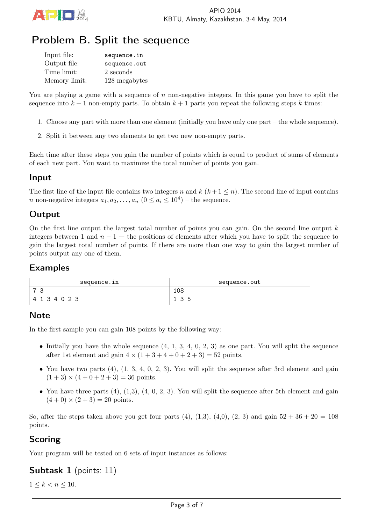

# Problem B. Split the sequence

| Input file:   | sequence.in   |
|---------------|---------------|
| Output file:  | sequence.out  |
| Time limit:   | 2 seconds     |
| Memory limit: | 128 megabytes |

You are playing a game with a sequence of *n* non-negative integers. In this game you have to split the sequence into  $k + 1$  non-empty parts. To obtain  $k + 1$  parts you repeat the following steps  $k$  times:

- 1. Choose any part with more than one element (initially you have only one part the whole sequence).
- 2. Split it between any two elements to get two new non-empty parts.

Each time after these steps you gain the number of points which is equal to product of sums of elements of each new part. You want to maximize the total number of points you gain.

#### Input

The first line of the input file contains two integers *n* and  $k$  ( $k+1 \leq n$ ). The second line of input contains *n* non-negative integers  $a_1, a_2, \ldots, a_n$   $(0 \le a_i \le 10^4)$  – the sequence.

## **Output**

On the first line output the largest total number of points you can gain. On the second line output *k* integers between 1 and  $n-1$  — the positions of elements after which you have to split the sequence to gain the largest total number of points. If there are more than one way to gain the largest number of points output any one of them.

#### Examples

| sequence.in    | sequence.out |
|----------------|--------------|
| $\overline{ }$ | 108          |
| 4 1 3 4 0 2 3  | 35<br>- 2    |

#### **Note**

In the first sample you can gain 108 points by the following way:

- Initially you have the whole sequence  $(4, 1, 3, 4, 0, 2, 3)$  as one part. You will split the sequence after 1st element and gain  $4 \times (1 + 3 + 4 + 0 + 2 + 3) = 52$  points.
- You have two parts  $(4)$ ,  $(1, 3, 4, 0, 2, 3)$ . You will split the sequence after 3rd element and gain  $(1+3) \times (4+0+2+3) = 36$  points.
- You have three parts  $(4)$ ,  $(1,3)$ ,  $(4, 0, 2, 3)$ . You will split the sequence after 5th element and gain  $(4+0) \times (2+3) = 20$  points.

So, after the steps taken above you get four parts  $(4)$ ,  $(1,3)$ ,  $(4,0)$ ,  $(2, 3)$  and gain  $52 + 36 + 20 = 108$ points.

### Scoring

Your program will be tested on 6 sets of input instances as follows:

Subtask 1 (points: 11)

 $1 \leq k < n \leq 10$ .